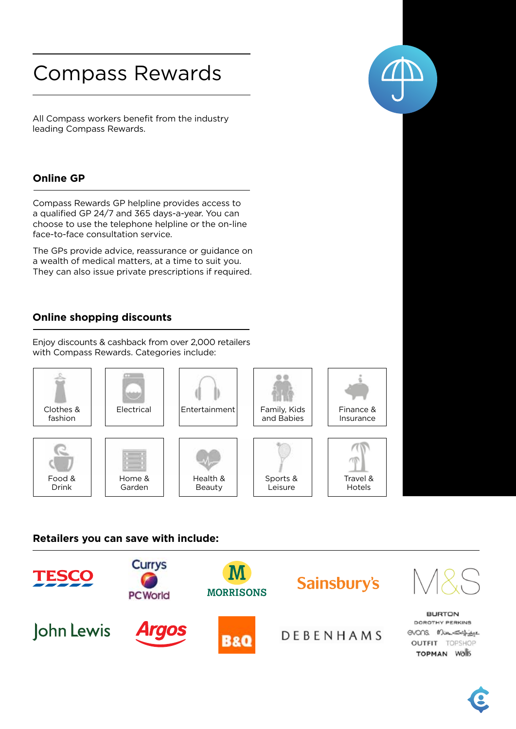# Compass Rewards

All Compass workers benefit from the industry leading Compass Rewards.

# **online gP**

Compass Rewards GP helpline provides access to a qualified GP 24/7 and 365 days-a-year. You can choose to use the telephone helpline or the on-line face-to-face consultation service.

The GPs provide advice, reassurance or guidance on a wealth of medical matters, at a time to suit you. They can also issue private prescriptions if required.

# **online shopping discounts**

Enjoy discounts & cashback from over 2,000 retailers with Compass Rewards. Categories include:



# **Retailers you can save with include:**